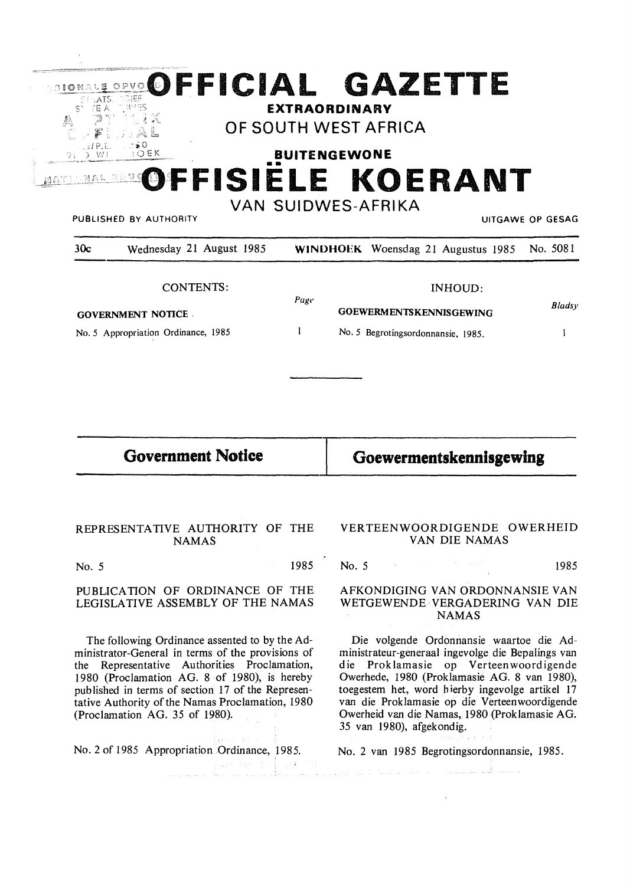| TE A<br>1 O E K                                                                     | <b>ORIGIAL GAZETTE</b><br><b>EXTRAORDINARY</b><br>OF SOUTH WEST AFRICA<br><b>BUITENGEWONE</b>                               |
|-------------------------------------------------------------------------------------|-----------------------------------------------------------------------------------------------------------------------------|
| PUBLISHED BY AUTHORITY<br>Wednesday 21 August 1985<br>30c                           | OFFISIELE KOERANT<br><b>VAN SUIDWES-AFRIKA</b><br>UITGAWE OP GESAG<br>No. 5081<br><b>WINDHOEK</b> Woensdag 21 Augustus 1985 |
| <b>CONTENTS:</b><br><b>GOVERNMENT NOTICE</b><br>No. 5 Appropriation Ordinance, 1985 | INHOUD:<br>Page<br><b>Bladsy</b><br><b>GOEWERMENTSKENNISGEWING</b><br>1<br>No. 5 Begrotingsordonnansie, 1985.<br>T          |
| <b>Government Notice</b>                                                            | Goewermentskennisgewing                                                                                                     |
| REPRESENTATIVE AUTHORITY OF THE<br><b>NAMAS</b>                                     | VERTEENWOORDIGENDE OWERHEID<br>VAN DIE NAMAS                                                                                |
| No. 5                                                                               | 1985<br>No. 5<br>1985                                                                                                       |
| PUBLICATION OF ORDINANCE OF THE<br>LEGISLATIVE ASSEMBLY OF THE NAMAS                | AFKONDIGING VAN ORDONNANSIE VAN<br>WETGEWENDE VERGADERING VAN DIE<br><b>NAMAS</b>                                           |

The following Ordinance assented to by the Administrator-General in terms of the provisions of the Representative Authorities Proclamation, 1980 (Proclamation AG. 8 of 1980), is hereby published in terms of section 17 of the Representative Authority of the Namas Proclamation, 1980 (Proclamation AG. 35 of 1980).

No. 2 of 1985 Appropriation Ordinance, 1985. No. 2 van 1985 Begrotingsordonnans

Die volgende Ordonnansie waartoe die Administrateur-generaal ingevolge die Bepalings van die Proklamasie op Verteenwoordigende Owerhede, 1980 (Proklamasie AG. 8 van 1980), toegestem het, word h ierby ingevolge artikel 17 van die Proklamasie op die Verteenwoordigende Owerheid van die Namas, 1980(Proklamasie AG. 35 van 1980), afgekondig.

No. 2 van 1985 Begrotingsordonnansie, 1985.

 $\overline{\phantom{a}}$  .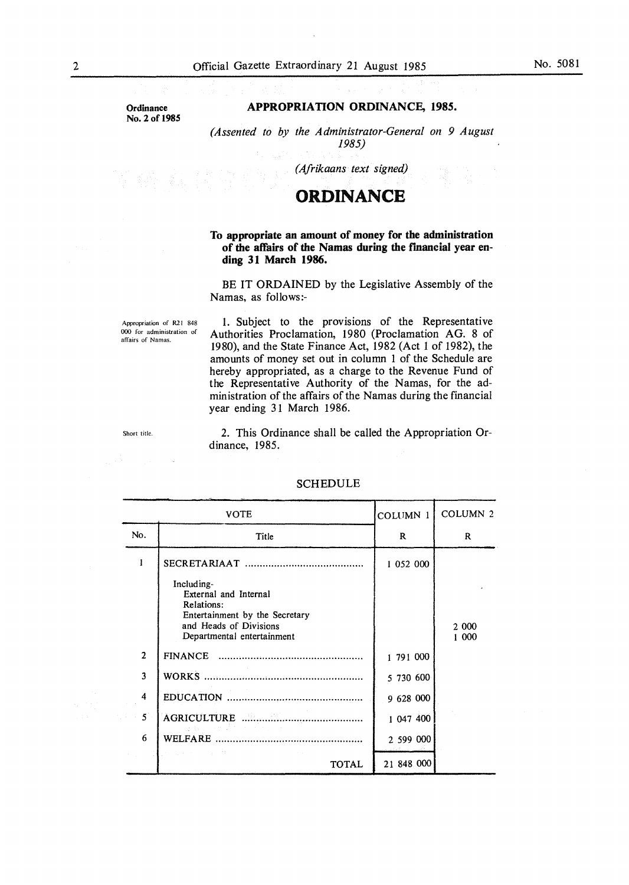**Ordinance No. 2 ofl985** 

## **APPROPRIATION ORDINANCE, 1985.**

*(Assented to by the Administrator-General on 9 August 1985)* 

*(Afrikaans text signed)* 

# **ORDINANCE**

### **To appropriate an amount of money for the administration of the affairs of the Namas during the financial year ending 31 March 1986.**

BE IT ORDAINED by the Legislative Assembly of the Namas, as follows:-

Appropriation of R21 848 000 for administration of affairs of Namas.

1. Subject to the provisions of the Representative Authorities Proclamation, 1980 (Proclamation AG. 8 of 1980), and the State Finance Act, 1982 (Act 1 of 1982), the amounts of money set out in column 1 of the Schedule are hereby appropriated, as a charge to the Revenue Fund of the Representative Authority of the Namas, for the administration of the affairs of the Namas during the financial year ending 31 March 1986.

Short title. 2. This Ordinance shall be called the Appropriation Ordinance, 1985.

|                  | <b>VOTE</b>                                                                                                                   | COLUMN 1   | <b>COLUMN 2</b> |
|------------------|-------------------------------------------------------------------------------------------------------------------------------|------------|-----------------|
| No.              | Title                                                                                                                         | R          | R               |
| ı                | Including-                                                                                                                    | 1 052 000  |                 |
|                  | External and Internal<br>Relations:<br>Entertainment by the Secretary<br>and Heads of Divisions<br>Departmental entertainment |            | 2 000<br>1000   |
| $\overline{2}$   |                                                                                                                               | 1 791 000  |                 |
| 3                |                                                                                                                               | 5 730 600  |                 |
| $\boldsymbol{4}$ |                                                                                                                               | 9 628 000  |                 |
| 5                | a gara se formado de                                                                                                          | 1 047 400  |                 |
| 6                |                                                                                                                               | 2 599 000  |                 |
|                  | $\mathbb{R}^n$ and $\mathbb{R}^n \times \mathbb{R}^n$<br><b>TOTAL</b>                                                         | 21 848 000 |                 |

### SCHEDULE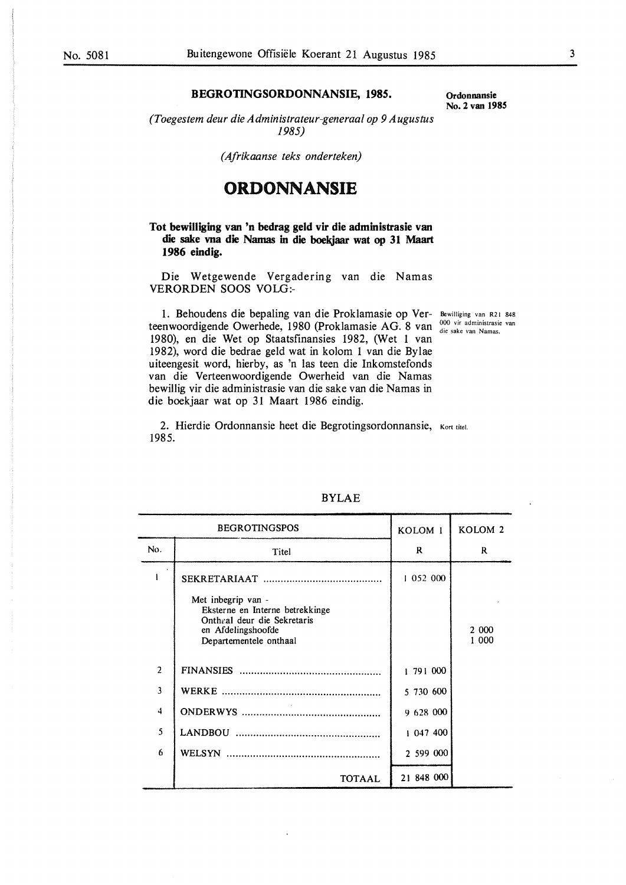# **BEGROTINGSORDONNANSIE, 1985. Ordonnansie**

**No. 2 van 1985** 

*(Toegestem deur die Administrateur-generaal op 9 Augustus 1985)* 

*(Afrikaanse teks onderteken)* 

# **ORDONNANSIE**

## **Tot bewilliging van 'n bedrag geld vir die administrasie van die sake vna die Namas** in **die boelgaar wat op 31 Maart 1986 eindig.**

Die Wetgewende Vergadering van die Namas VERORDEN SOOS VOLG:-

1. Behoudens die bepaling van die Proklamasie op Ver-Bewilliging van R2 I 848 teenwoordigende Owerhede, 1980 (Proklamasie AG. 8 van <sup>000 vir administrasie van</sup> 1980), en die Wet op Staatsfinansies 1982, (Wet 1 van 1982), word die bedrae geld wat in kolom 1 van die Bylae uiteengesit word, hierby, as 'n las teen die Inkomstefonds van die Verteenwoordigende Owerheid van die Namas bewillig vir die administrasie van die sake van die Namas in die boekjaar wat op 31 Maart 1986 eindig.

2. Hierdie Ordonnansie heet die Begrotingsordonnansie, Kort titel. 1985.

|                | <b>BEGROTINGSPOS</b>                                                                                                                 | KOLOM <sub>1</sub> | KOLOM <sub>2</sub> |
|----------------|--------------------------------------------------------------------------------------------------------------------------------------|--------------------|--------------------|
| No.            | Titel                                                                                                                                | R                  | R                  |
|                | Met inbegrip van -<br>Eksterne en Interne betrekkinge<br>Onthaal deur die Sekretaris<br>en Afdelingshoofde<br>Departementele onthaal | 1 052 000          | 2 000<br>1 000     |
| $\overline{a}$ |                                                                                                                                      | 1 791 000          |                    |
| 3              |                                                                                                                                      | 5 730 600          |                    |
| 4              |                                                                                                                                      | 9 628 000          |                    |
| 5              |                                                                                                                                      | 1047400            |                    |
| 6              |                                                                                                                                      | 2 599 000          |                    |
|                | TOTAAL                                                                                                                               | 21 848 000         |                    |

#### **BYLAE**